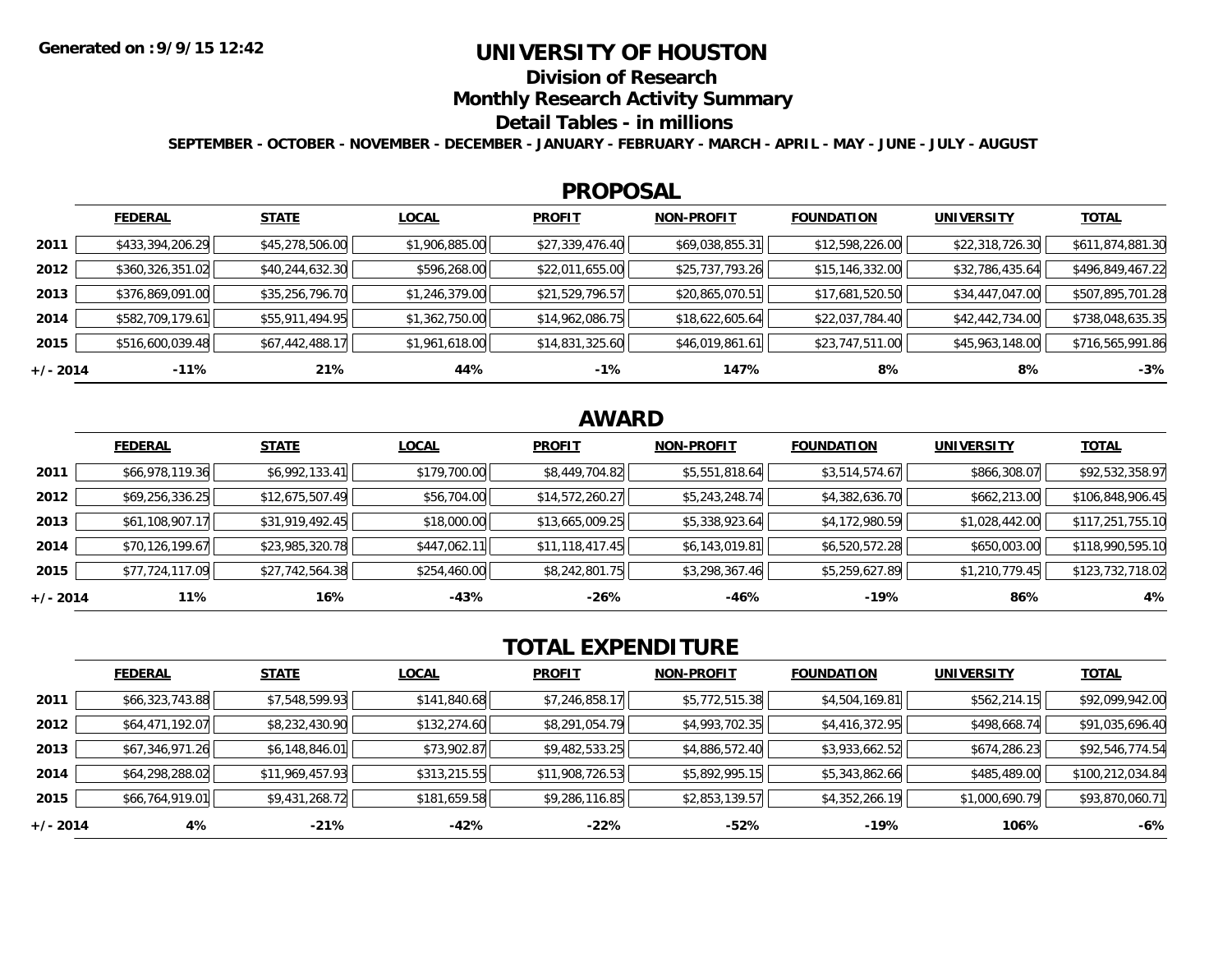## **UNIVERSITY OF HOUSTON**

**Division of Research**

**Monthly Research Activity Summary**

#### **Detail Tables - in millions**

**SEPTEMBER - OCTOBER - NOVEMBER - DECEMBER - JANUARY - FEBRUARY - MARCH - APRIL - MAY - JUNE - JULY - AUGUST**

### **PROPOSAL**

|            | <b>FEDERAL</b>   | <b>STATE</b>    | <b>LOCAL</b>   | <b>PROFIT</b>   | <b>NON-PROFIT</b> | <b>FOUNDATION</b> | <b>UNIVERSITY</b> | <u>TOTAL</u>     |
|------------|------------------|-----------------|----------------|-----------------|-------------------|-------------------|-------------------|------------------|
| 2011       | \$433,394,206.29 | \$45,278,506.00 | \$1,906,885.00 | \$27,339,476.40 | \$69,038,855.31   | \$12,598,226.00   | \$22,318,726.30   | \$611,874,881.30 |
| 2012       | \$360,326,351.02 | \$40,244,632.30 | \$596,268.00   | \$22,011,655.00 | \$25,737,793.26   | \$15, 146, 332.00 | \$32,786,435.64   | \$496,849,467.22 |
| 2013       | \$376,869,091.00 | \$35,256,796.70 | \$1,246,379.00 | \$21,529,796.57 | \$20,865,070.51   | \$17,681,520.50   | \$34,447,047.00   | \$507,895,701.28 |
| 2014       | \$582,709,179.61 | \$55,911,494.95 | \$1,362,750.00 | \$14,962,086.75 | \$18,622,605.64   | \$22,037,784.40   | \$42,442,734.00   | \$738,048,635.35 |
| 2015       | \$516,600,039.48 | \$67,442,488.17 | \$1,961,618.00 | \$14,831,325.60 | \$46,019,861.61   | \$23,747,511.00   | \$45,963,148.00   | \$716,565,991.86 |
| $+/- 2014$ | $-11\%$          | 21%             | 44%            | $-1%$           | 147%              | 8%                | 8%                | $-3%$            |

# **AWARD**

|            | <b>FEDERAL</b>  | <b>STATE</b>    | <b>LOCAL</b> | <b>PROFIT</b>   | <b>NON-PROFIT</b> | <b>FOUNDATION</b> | <b>UNIVERSITY</b> | <u>TOTAL</u>     |
|------------|-----------------|-----------------|--------------|-----------------|-------------------|-------------------|-------------------|------------------|
| 2011       | \$66,978,119.36 | \$6,992,133.41  | \$179,700.00 | \$8,449,704.82  | \$5,551,818.64    | \$3,514,574.67    | \$866,308.07      | \$92,532,358.97  |
| 2012       | \$69,256,336.25 | \$12,675,507.49 | \$56,704.00  | \$14,572,260.27 | \$5,243,248.74    | \$4,382,636.70    | \$662,213.00      | \$106,848,906.45 |
| 2013       | \$61,108,907.17 | \$31,919,492.45 | \$18,000.00  | \$13,665,009.25 | \$5,338,923.64    | \$4,172,980.59    | \$1,028,442.00    | \$117,251,755.10 |
| 2014       | \$70,126,199.67 | \$23,985,320.78 | \$447,062.11 | \$11,118,417.45 | \$6,143,019.81    | \$6,520,572.28    | \$650,003.00      | \$118,990,595.10 |
| 2015       | \$77,724,117.09 | \$27,742,564.38 | \$254,460.00 | \$8,242,801.75  | \$3,298,367.46    | \$5,259,627.89    | \$1,210,779.45    | \$123,732,718.02 |
| $+/- 2014$ | 11%             | 16%             | $-43%$       | $-26%$          | -46%              | $-19%$            | 86%               | 4%               |

# **TOTAL EXPENDITURE**

|            | <b>FEDERAL</b>  | <b>STATE</b>    | <b>LOCAL</b> | <b>PROFIT</b>   | <b>NON-PROFIT</b> | <b>FOUNDATION</b> | <b>UNIVERSITY</b> | <b>TOTAL</b>     |
|------------|-----------------|-----------------|--------------|-----------------|-------------------|-------------------|-------------------|------------------|
| 2011       | \$66,323,743.88 | \$7,548,599.93  | \$141,840.68 | \$7,246,858.17  | \$5,772,515.38    | \$4,504,169.81    | \$562,214.15      | \$92,099,942.00  |
| 2012       | \$64,471,192.07 | \$8,232,430.90  | \$132,274.60 | \$8,291,054.79  | \$4,993,702.35    | \$4,416,372.95    | \$498,668.74      | \$91,035,696.40  |
| 2013       | \$67,346,971.26 | \$6,148,846.01  | \$73,902.87  | \$9,482,533.25  | \$4,886,572.40    | \$3,933,662.52    | \$674,286.23      | \$92,546,774.54  |
| 2014       | \$64,298,288.02 | \$11,969,457.93 | \$313,215.55 | \$11,908,726.53 | \$5,892,995.15    | \$5,343,862.66    | \$485,489.00      | \$100,212,034.84 |
| 2015       | \$66,764,919.01 | \$9,431,268.72  | \$181,659.58 | \$9,286,116.85  | \$2,853,139.57    | \$4,352,266.19    | \$1,000,690.79    | \$93,870,060.71  |
| $+/- 2014$ | 4%              | $-21%$          | -42%         | $-22\%$         | $-52%$            | $-19%$            | 106%              | $-6%$            |